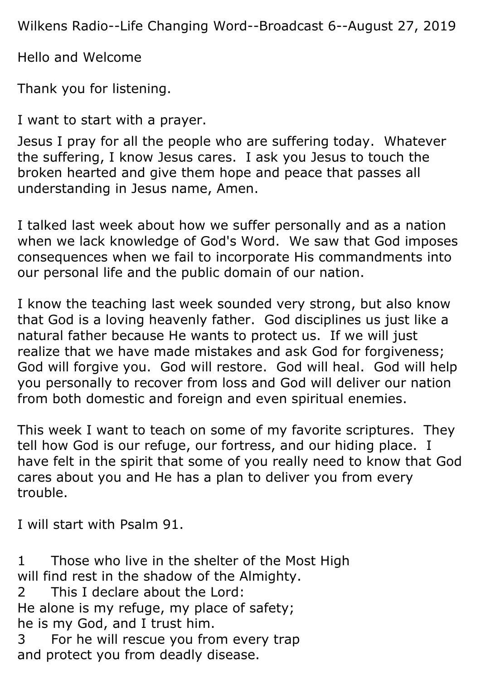Wilkens Radio--Life Changing Word--Broadcast 6--August 27, 2019

Hello and Welcome

Thank you for listening.

I want to start with a prayer.

Jesus I pray for all the people who are suffering today. Whatever the suffering, I know Jesus cares. I ask you Jesus to touch the broken hearted and give them hope and peace that passes all understanding in Jesus name, Amen.

I talked last week about how we suffer personally and as a nation when we lack knowledge of God's Word. We saw that God imposes consequences when we fail to incorporate His commandments into our personal life and the public domain of our nation.

I know the teaching last week sounded very strong, but also know that God is a loving heavenly father. God disciplines us just like a natural father because He wants to protect us. If we will just realize that we have made mistakes and ask God for forgiveness; God will forgive you. God will restore. God will heal. God will help you personally to recover from loss and God will deliver our nation from both domestic and foreign and even spiritual enemies.

This week I want to teach on some of my favorite scriptures. They tell how God is our refuge, our fortress, and our hiding place. I have felt in the spirit that some of you really need to know that God cares about you and He has a plan to deliver you from every trouble.

I will start with Psalm 91.

1 Those who live in the shelter of the Most High will find rest in the shadow of the Almighty. 2 This I declare about the Lord: He alone is my refuge, my place of safety; he is my God, and I trust him. 3 For he will rescue you from every trap and protect you from deadly disease.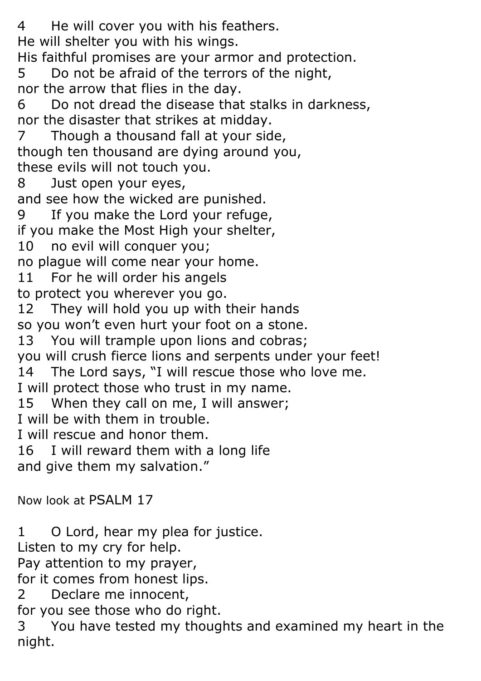4 He will cover you with his feathers. He will shelter you with his wings. His faithful promises are your armor and protection. 5 Do not be afraid of the terrors of the night, nor the arrow that flies in the day. 6 Do not dread the disease that stalks in darkness, nor the disaster that strikes at midday. 7 Though a thousand fall at your side, though ten thousand are dying around you, these evils will not touch you. 8 Just open your eyes, and see how the wicked are punished. 9 If you make the Lord your refuge, if you make the Most High your shelter, 10 no evil will conquer you; no plague will come near your home. 11 For he will order his angels to protect you wherever you go. 12 They will hold you up with their hands so you won't even hurt your foot on a stone. 13 You will trample upon lions and cobras; you will crush fierce lions and serpents under your feet! 14 The Lord says, "I will rescue those who love me. I will protect those who trust in my name. 15 When they call on me, I will answer; I will be with them in trouble. I will rescue and honor them. 16 I will reward them with a long life and give them my salvation." Now look at PSALM 17

1 O Lord, hear my plea for justice. Listen to my cry for help. Pay attention to my prayer, for it comes from honest lips. 2 Declare me innocent, for you see those who do right. 3 You have tested my thoughts and examined my heart in the night.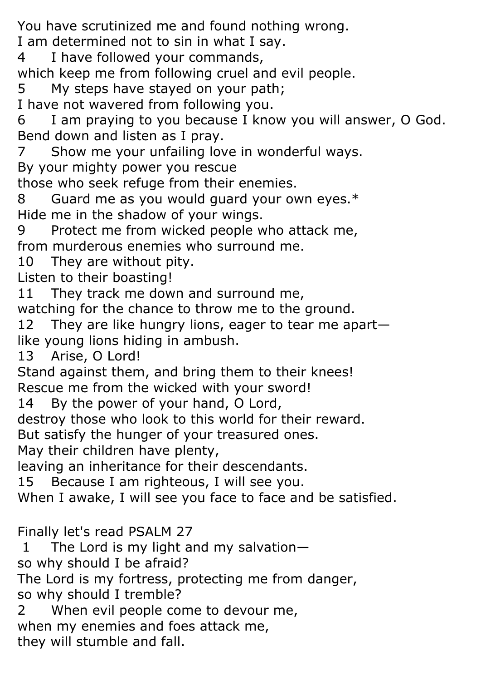You have scrutinized me and found nothing wrong.

I am determined not to sin in what I say.

4 I have followed your commands,

which keep me from following cruel and evil people.

5 My steps have stayed on your path;

I have not wavered from following you.

6 I am praying to you because I know you will answer, O God. Bend down and listen as I pray.

7 Show me your unfailing love in wonderful ways.

By your mighty power you rescue

those who seek refuge from their enemies.

8 Guard me as you would guard your own eyes.\* Hide me in the shadow of your wings.

9 Protect me from wicked people who attack me, from murderous enemies who surround me.

10 They are without pity.

Listen to their boasting!

11 They track me down and surround me,

watching for the chance to throw me to the ground.

12 They are like hungry lions, eager to tear me apart like young lions hiding in ambush.

13 Arise, O Lord!

Stand against them, and bring them to their knees! Rescue me from the wicked with your sword!

14 By the power of your hand, O Lord,

destroy those who look to this world for their reward.

But satisfy the hunger of your treasured ones.

May their children have plenty,

leaving an inheritance for their descendants.

15 Because I am righteous, I will see you.

When I awake, I will see you face to face and be satisfied.

Finally let's read PSALM 27

1 The Lord is my light and my salvation—

so why should I be afraid?

The Lord is my fortress, protecting me from danger, so why should I tremble?

2 When evil people come to devour me,

when my enemies and foes attack me,

they will stumble and fall.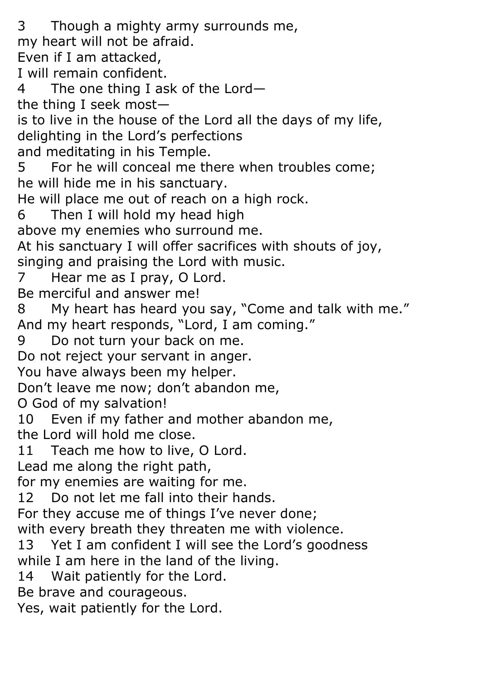3 Though a mighty army surrounds me, my heart will not be afraid. Even if I am attacked, I will remain confident. 4 The one thing I ask of the Lord the thing I seek most is to live in the house of the Lord all the days of my life, delighting in the Lord's perfections and meditating in his Temple. 5 For he will conceal me there when troubles come; he will hide me in his sanctuary. He will place me out of reach on a high rock. 6 Then I will hold my head high above my enemies who surround me. At his sanctuary I will offer sacrifices with shouts of joy, singing and praising the Lord with music. 7 Hear me as I pray, O Lord. Be merciful and answer me! 8 My heart has heard you say, "Come and talk with me." And my heart responds, "Lord, I am coming." 9 Do not turn your back on me. Do not reject your servant in anger. You have always been my helper. Don't leave me now; don't abandon me, O God of my salvation! 10 Even if my father and mother abandon me, the Lord will hold me close. 11 Teach me how to live, O Lord. Lead me along the right path, for my enemies are waiting for me. 12 Do not let me fall into their hands. For they accuse me of things I've never done; with every breath they threaten me with violence. 13 Yet I am confident I will see the Lord's goodness while I am here in the land of the living. 14 Wait patiently for the Lord. Be brave and courageous. Yes, wait patiently for the Lord.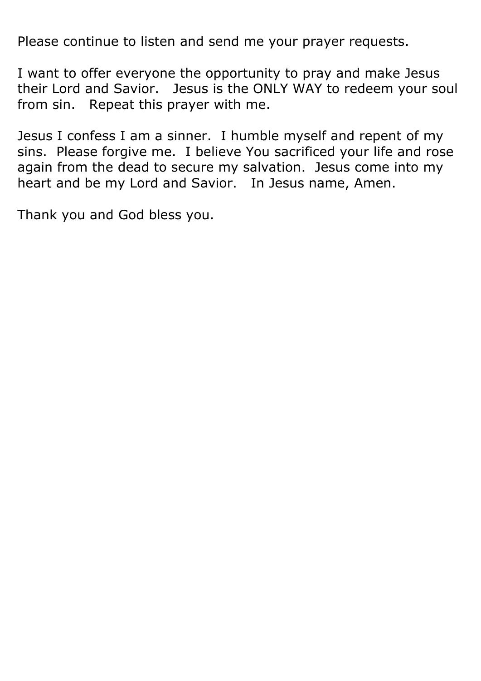Please continue to listen and send me your prayer requests.

I want to offer everyone the opportunity to pray and make Jesus their Lord and Savior. Jesus is the ONLY WAY to redeem your soul from sin. Repeat this prayer with me.

Jesus I confess I am a sinner. I humble myself and repent of my sins. Please forgive me. I believe You sacrificed your life and rose again from the dead to secure my salvation. Jesus come into my heart and be my Lord and Savior. In Jesus name, Amen.

Thank you and God bless you.